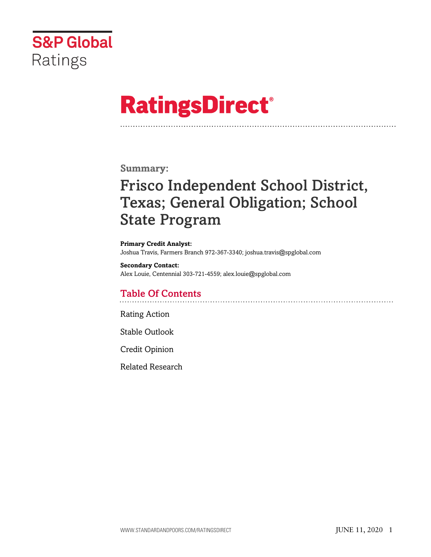

# **RatingsDirect®**

# **Summary:**

# Frisco Independent School District, Texas; General Obligation; School State Program

**Primary Credit Analyst:** Joshua Travis, Farmers Branch 972-367-3340; joshua.travis@spglobal.com

**Secondary Contact:** Alex Louie, Centennial 303-721-4559; alex.louie@spglobal.com

# Table Of Contents

[Rating Action](#page-1-0)

[Stable Outlook](#page-2-0)

[Credit Opinion](#page-2-1)

[Related Research](#page-6-0)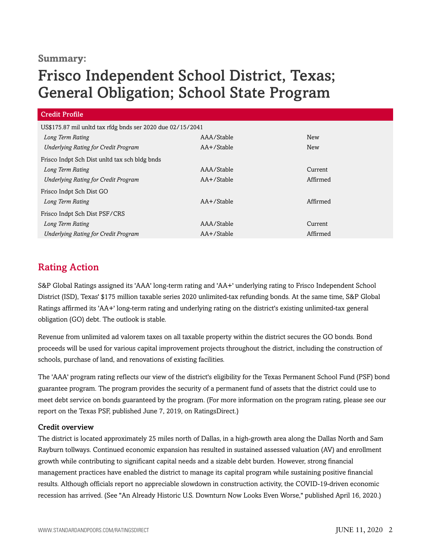## **Summary:**

# Frisco Independent School District, Texas; General Obligation; School State Program

| <b>Credit Profile</b>                                      |                 |          |
|------------------------------------------------------------|-----------------|----------|
| US\$175.87 mil unltd tax rfdg bnds ser 2020 due 02/15/2041 |                 |          |
| Long Term Rating                                           | AAA/Stable      | New      |
| <b>Underlying Rating for Credit Program</b>                | AA+/Stable      | New      |
| Frisco Indpt Sch Dist unltd tax sch bldg bnds              |                 |          |
| Long Term Rating                                           | AAA/Stable      | Current  |
| Underlying Rating for Credit Program                       | AA+/Stable      | Affirmed |
| Frisco Indpt Sch Dist GO                                   |                 |          |
| Long Term Rating                                           | $AA + /$ Stable | Affirmed |
| Frisco Indpt Sch Dist PSF/CRS                              |                 |          |
| Long Term Rating                                           | AAA/Stable      | Current  |
| <b>Underlying Rating for Credit Program</b>                | AA+/Stable      | Affirmed |

# <span id="page-1-0"></span>Rating Action

S&P Global Ratings assigned its 'AAA' long-term rating and 'AA+' underlying rating to Frisco Independent School District (ISD), Texas' \$175 million taxable series 2020 unlimited-tax refunding bonds. At the same time, S&P Global Ratings affirmed its 'AA+' long-term rating and underlying rating on the district's existing unlimited-tax general obligation (GO) debt. The outlook is stable.

Revenue from unlimited ad valorem taxes on all taxable property within the district secures the GO bonds. Bond proceeds will be used for various capital improvement projects throughout the district, including the construction of schools, purchase of land, and renovations of existing facilities.

The 'AAA' program rating reflects our view of the district's eligibility for the Texas Permanent School Fund (PSF) bond guarantee program. The program provides the security of a permanent fund of assets that the district could use to meet debt service on bonds guaranteed by the program. (For more information on the program rating, please see our report on the Texas PSF, published June 7, 2019, on RatingsDirect.)

### Credit overview

The district is located approximately 25 miles north of Dallas, in a high-growth area along the Dallas North and Sam Rayburn tollways. Continued economic expansion has resulted in sustained assessed valuation (AV) and enrollment growth while contributing to significant capital needs and a sizable debt burden. However, strong financial management practices have enabled the district to manage its capital program while sustaining positive financial results. Although officials report no appreciable slowdown in construction activity, the COVID-19-driven economic recession has arrived. (See "An Already Historic U.S. Downturn Now Looks Even Worse," published April 16, 2020.)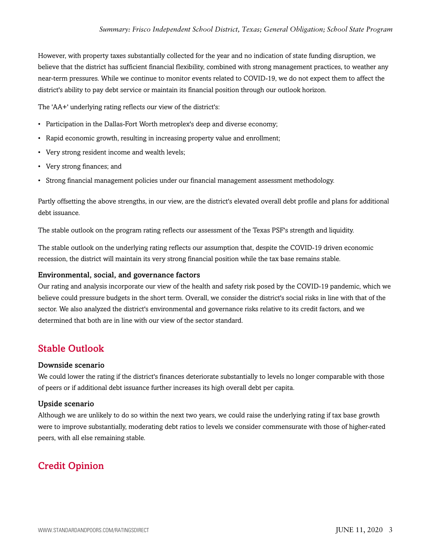However, with property taxes substantially collected for the year and no indication of state funding disruption, we believe that the district has sufficient financial flexibility, combined with strong management practices, to weather any near-term pressures. While we continue to monitor events related to COVID-19, we do not expect them to affect the district's ability to pay debt service or maintain its financial position through our outlook horizon.

The 'AA+' underlying rating reflects our view of the district's:

- Participation in the Dallas-Fort Worth metroplex's deep and diverse economy;
- Rapid economic growth, resulting in increasing property value and enrollment;
- Very strong resident income and wealth levels;
- Very strong finances; and
- Strong financial management policies under our financial management assessment methodology.

Partly offsetting the above strengths, in our view, are the district's elevated overall debt profile and plans for additional debt issuance.

The stable outlook on the program rating reflects our assessment of the Texas PSF's strength and liquidity.

The stable outlook on the underlying rating reflects our assumption that, despite the COVID-19 driven economic recession, the district will maintain its very strong financial position while the tax base remains stable.

#### Environmental, social, and governance factors

Our rating and analysis incorporate our view of the health and safety risk posed by the COVID-19 pandemic, which we believe could pressure budgets in the short term. Overall, we consider the district's social risks in line with that of the sector. We also analyzed the district's environmental and governance risks relative to its credit factors, and we determined that both are in line with our view of the sector standard.

### <span id="page-2-0"></span>Stable Outlook

#### Downside scenario

We could lower the rating if the district's finances deteriorate substantially to levels no longer comparable with those of peers or if additional debt issuance further increases its high overall debt per capita.

#### Upside scenario

Although we are unlikely to do so within the next two years, we could raise the underlying rating if tax base growth were to improve substantially, moderating debt ratios to levels we consider commensurate with those of higher-rated peers, with all else remaining stable.

# <span id="page-2-1"></span>Credit Opinion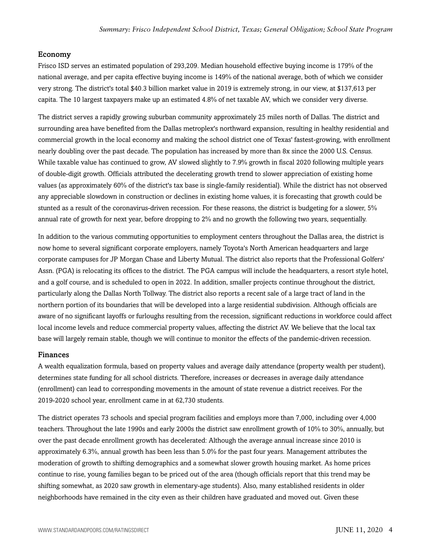#### Economy

Frisco ISD serves an estimated population of 293,209. Median household effective buying income is 179% of the national average, and per capita effective buying income is 149% of the national average, both of which we consider very strong. The district's total \$40.3 billion market value in 2019 is extremely strong, in our view, at \$137,613 per capita. The 10 largest taxpayers make up an estimated 4.8% of net taxable AV, which we consider very diverse.

The district serves a rapidly growing suburban community approximately 25 miles north of Dallas. The district and surrounding area have benefited from the Dallas metroplex's northward expansion, resulting in healthy residential and commercial growth in the local economy and making the school district one of Texas' fastest-growing, with enrollment nearly doubling over the past decade. The population has increased by more than 8x since the 2000 U.S. Census. While taxable value has continued to grow, AV slowed slightly to 7.9% growth in fiscal 2020 following multiple years of double-digit growth. Officials attributed the decelerating growth trend to slower appreciation of existing home values (as approximately 60% of the district's tax base is single-family residential). While the district has not observed any appreciable slowdown in construction or declines in existing home values, it is forecasting that growth could be stunted as a result of the coronavirus-driven recession. For these reasons, the district is budgeting for a slower, 5% annual rate of growth for next year, before dropping to 2% and no growth the following two years, sequentially.

In addition to the various commuting opportunities to employment centers throughout the Dallas area, the district is now home to several significant corporate employers, namely Toyota's North American headquarters and large corporate campuses for JP Morgan Chase and Liberty Mutual. The district also reports that the Professional Golfers' Assn. (PGA) is relocating its offices to the district. The PGA campus will include the headquarters, a resort style hotel, and a golf course, and is scheduled to open in 2022. In addition, smaller projects continue throughout the district, particularly along the Dallas North Tollway. The district also reports a recent sale of a large tract of land in the northern portion of its boundaries that will be developed into a large residential subdivision. Although officials are aware of no significant layoffs or furloughs resulting from the recession, significant reductions in workforce could affect local income levels and reduce commercial property values, affecting the district AV. We believe that the local tax base will largely remain stable, though we will continue to monitor the effects of the pandemic-driven recession.

#### Finances

A wealth equalization formula, based on property values and average daily attendance (property wealth per student), determines state funding for all school districts. Therefore, increases or decreases in average daily attendance (enrollment) can lead to corresponding movements in the amount of state revenue a district receives. For the 2019-2020 school year, enrollment came in at 62,730 students.

The district operates 73 schools and special program facilities and employs more than 7,000, including over 4,000 teachers. Throughout the late 1990s and early 2000s the district saw enrollment growth of 10% to 30%, annually, but over the past decade enrollment growth has decelerated: Although the average annual increase since 2010 is approximately 6.3%, annual growth has been less than 5.0% for the past four years. Management attributes the moderation of growth to shifting demographics and a somewhat slower growth housing market. As home prices continue to rise, young families began to be priced out of the area (though officials report that this trend may be shifting somewhat, as 2020 saw growth in elementary-age students). Also, many established residents in older neighborhoods have remained in the city even as their children have graduated and moved out. Given these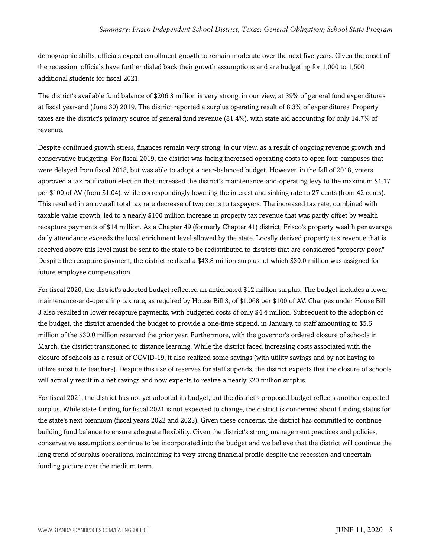demographic shifts, officials expect enrollment growth to remain moderate over the next five years. Given the onset of the recession, officials have further dialed back their growth assumptions and are budgeting for 1,000 to 1,500 additional students for fiscal 2021.

The district's available fund balance of \$206.3 million is very strong, in our view, at 39% of general fund expenditures at fiscal year-end (June 30) 2019. The district reported a surplus operating result of 8.3% of expenditures. Property taxes are the district's primary source of general fund revenue (81.4%), with state aid accounting for only 14.7% of revenue.

Despite continued growth stress, finances remain very strong, in our view, as a result of ongoing revenue growth and conservative budgeting. For fiscal 2019, the district was facing increased operating costs to open four campuses that were delayed from fiscal 2018, but was able to adopt a near-balanced budget. However, in the fall of 2018, voters approved a tax ratification election that increased the district's maintenance-and-operating levy to the maximum \$1.17 per \$100 of AV (from \$1.04), while correspondingly lowering the interest and sinking rate to 27 cents (from 42 cents). This resulted in an overall total tax rate decrease of two cents to taxpayers. The increased tax rate, combined with taxable value growth, led to a nearly \$100 million increase in property tax revenue that was partly offset by wealth recapture payments of \$14 million. As a Chapter 49 (formerly Chapter 41) district, Frisco's property wealth per average daily attendance exceeds the local enrichment level allowed by the state. Locally derived property tax revenue that is received above this level must be sent to the state to be redistributed to districts that are considered "property poor." Despite the recapture payment, the district realized a \$43.8 million surplus, of which \$30.0 million was assigned for future employee compensation.

For fiscal 2020, the district's adopted budget reflected an anticipated \$12 million surplus. The budget includes a lower maintenance-and-operating tax rate, as required by House Bill 3, of \$1.068 per \$100 of AV. Changes under House Bill 3 also resulted in lower recapture payments, with budgeted costs of only \$4.4 million. Subsequent to the adoption of the budget, the district amended the budget to provide a one-time stipend, in January, to staff amounting to \$5.6 million of the \$30.0 million reserved the prior year. Furthermore, with the governor's ordered closure of schools in March, the district transitioned to distance learning. While the district faced increasing costs associated with the closure of schools as a result of COVID-19, it also realized some savings (with utility savings and by not having to utilize substitute teachers). Despite this use of reserves for staff stipends, the district expects that the closure of schools will actually result in a net savings and now expects to realize a nearly \$20 million surplus.

For fiscal 2021, the district has not yet adopted its budget, but the district's proposed budget reflects another expected surplus. While state funding for fiscal 2021 is not expected to change, the district is concerned about funding status for the state's next biennium (fiscal years 2022 and 2023). Given these concerns, the district has committed to continue building fund balance to ensure adequate flexibility. Given the district's strong management practices and policies, conservative assumptions continue to be incorporated into the budget and we believe that the district will continue the long trend of surplus operations, maintaining its very strong financial profile despite the recession and uncertain funding picture over the medium term.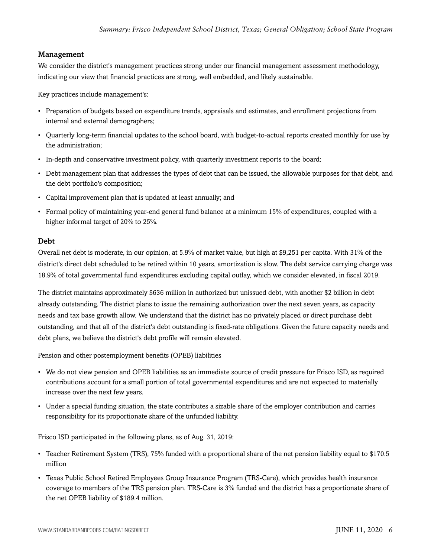#### Management

We consider the district's management practices strong under our financial management assessment methodology, indicating our view that financial practices are strong, well embedded, and likely sustainable.

Key practices include management's:

- Preparation of budgets based on expenditure trends, appraisals and estimates, and enrollment projections from internal and external demographers;
- Quarterly long-term financial updates to the school board, with budget-to-actual reports created monthly for use by the administration;
- In-depth and conservative investment policy, with quarterly investment reports to the board;
- Debt management plan that addresses the types of debt that can be issued, the allowable purposes for that debt, and the debt portfolio's composition;
- Capital improvement plan that is updated at least annually; and
- Formal policy of maintaining year-end general fund balance at a minimum 15% of expenditures, coupled with a higher informal target of 20% to 25%.

#### Debt

Overall net debt is moderate, in our opinion, at 5.9% of market value, but high at \$9,251 per capita. With 31% of the district's direct debt scheduled to be retired within 10 years, amortization is slow. The debt service carrying charge was 18.9% of total governmental fund expenditures excluding capital outlay, which we consider elevated, in fiscal 2019.

The district maintains approximately \$636 million in authorized but unissued debt, with another \$2 billion in debt already outstanding. The district plans to issue the remaining authorization over the next seven years, as capacity needs and tax base growth allow. We understand that the district has no privately placed or direct purchase debt outstanding, and that all of the district's debt outstanding is fixed-rate obligations. Given the future capacity needs and debt plans, we believe the district's debt profile will remain elevated.

Pension and other postemployment benefits (OPEB) liabilities

- We do not view pension and OPEB liabilities as an immediate source of credit pressure for Frisco ISD, as required contributions account for a small portion of total governmental expenditures and are not expected to materially increase over the next few years.
- Under a special funding situation, the state contributes a sizable share of the employer contribution and carries responsibility for its proportionate share of the unfunded liability.

Frisco ISD participated in the following plans, as of Aug. 31, 2019:

- Teacher Retirement System (TRS), 75% funded with a proportional share of the net pension liability equal to \$170.5 million
- Texas Public School Retired Employees Group Insurance Program (TRS-Care), which provides health insurance coverage to members of the TRS pension plan. TRS-Care is 3% funded and the district has a proportionate share of the net OPEB liability of \$189.4 million.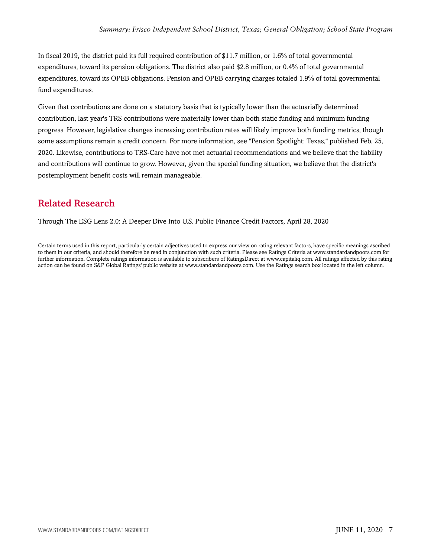In fiscal 2019, the district paid its full required contribution of \$11.7 million, or 1.6% of total governmental expenditures, toward its pension obligations. The district also paid \$2.8 million, or 0.4% of total governmental expenditures, toward its OPEB obligations. Pension and OPEB carrying charges totaled 1.9% of total governmental fund expenditures.

Given that contributions are done on a statutory basis that is typically lower than the actuarially determined contribution, last year's TRS contributions were materially lower than both static funding and minimum funding progress. However, legislative changes increasing contribution rates will likely improve both funding metrics, though some assumptions remain a credit concern. For more information, see "Pension Spotlight: Texas," published Feb. 25, 2020. Likewise, contributions to TRS-Care have not met actuarial recommendations and we believe that the liability and contributions will continue to grow. However, given the special funding situation, we believe that the district's postemployment benefit costs will remain manageable.

# <span id="page-6-0"></span>Related Research

Through The ESG Lens 2.0: A Deeper Dive Into U.S. Public Finance Credit Factors, April 28, 2020

Certain terms used in this report, particularly certain adjectives used to express our view on rating relevant factors, have specific meanings ascribed to them in our criteria, and should therefore be read in conjunction with such criteria. Please see Ratings Criteria at www.standardandpoors.com for further information. Complete ratings information is available to subscribers of RatingsDirect at www.capitaliq.com. All ratings affected by this rating action can be found on S&P Global Ratings' public website at www.standardandpoors.com. Use the Ratings search box located in the left column.